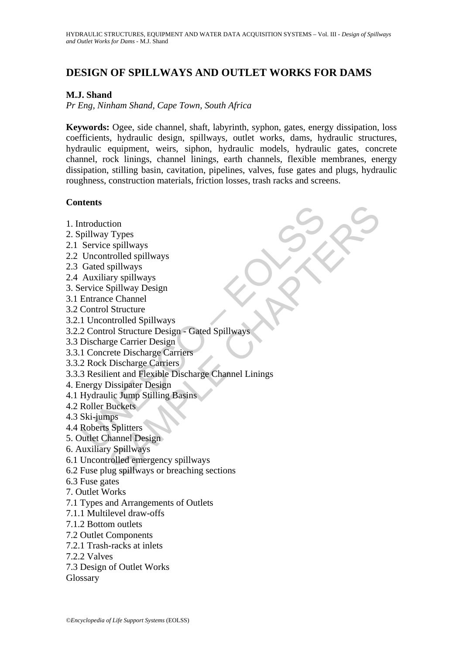# **DESIGN OF SPILLWAYS AND OUTLET WORKS FOR DAMS**

## **M.J. Shand**

*Pr Eng, Ninham Shand, Cape Town, South Africa* 

**Keywords:** Ogee, side channel, shaft, labyrinth, syphon, gates, energy dissipation, loss coefficients, hydraulic design, spillways, outlet works, dams, hydraulic structures, hydraulic equipment, weirs, siphon, hydraulic models, hydraulic gates, concrete channel, rock linings, channel linings, earth channels, flexible membranes, energy dissipation, stilling basin, cavitation, pipelines, valves, fuse gates and plugs, hydraulic roughness, construction materials, friction losses, trash racks and screens.

## **Contents**

| 1. Introduction                                                     |
|---------------------------------------------------------------------|
| 2. Spillway Types                                                   |
|                                                                     |
| 2.1 Service spillways<br>2.2 Uncontrolled spillways                 |
|                                                                     |
| 2.3 Gated spillways                                                 |
| 2.4 Auxiliary spillways                                             |
| 3. Service Spillway Design<br>3.1 Entrance Channel                  |
|                                                                     |
| 3.2 Control Structure                                               |
| 3.2.1 Uncontrolled Spillways                                        |
| 3.2.2 Control Structure Design - Gated Spillways                    |
| 3.3 Discharge Carrier Design                                        |
| 3.3.1 Concrete Discharge Carriers                                   |
| 3.3.2 Rock Discharge Carriers                                       |
| 3.3.3 Resilient and Flexible Discharge Channel Linings              |
| 4. Energy Dissipater Design                                         |
| 4.1 Hydraulic Jump Stilling Basins<br>4.2 Roller Buckets            |
|                                                                     |
| 4.3 Ski-jumps                                                       |
| 4.4 Roberts Splitters                                               |
| 5. Outlet Channel Design                                            |
| 6. Auxiliary Spillways                                              |
| 6.1 Uncontrolled emergency spillways                                |
| 6.2 Fuse plug spillways or breaching sections                       |
| 6.3 Fuse gates<br>7. Outlet Works                                   |
|                                                                     |
| 7.1 Types and Arrangements of Outlets<br>7.1.1 Multilevel draw-offs |
| 7.1.2 Bottom outlets                                                |
|                                                                     |
| 7.2 Outlet Components<br>7.2.1 Trash-racks at inlets                |
| 7.2.2 Valves                                                        |
|                                                                     |

7.3 Design of Outlet Works

Glossary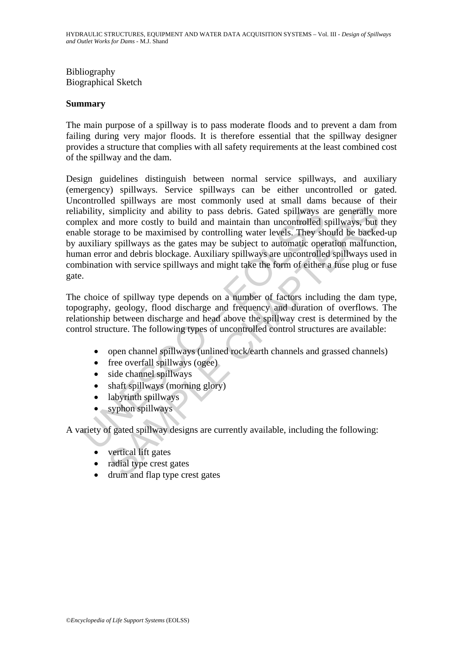Bibliography Biographical Sketch

### **Summary**

The main purpose of a spillway is to pass moderate floods and to prevent a dam from failing during very major floods. It is therefore essential that the spillway designer provides a structure that complies with all safety requirements at the least combined cost of the spillway and the dam.

Notice the method and the same of the same of the same of the same of the same of the same of the state of the state of the must<br>liary spillways as the gates may be subject to automatic operations will<br>any spillways as the simplicity and ability to pass debris. Gated spillways are generally r<br>simplicity and ability to pass debris. Gated spillways are generally r<br>ad more costly to build and maintain than uncontrolled spillways, but<br>age to be Design guidelines distinguish between normal service spillways, and auxiliary (emergency) spillways. Service spillways can be either uncontrolled or gated. Uncontrolled spillways are most commonly used at small dams because of their reliability, simplicity and ability to pass debris. Gated spillways are generally more complex and more costly to build and maintain than uncontrolled spillways, but they enable storage to be maximised by controlling water levels. They should be backed-up by auxiliary spillways as the gates may be subject to automatic operation malfunction, human error and debris blockage. Auxiliary spillways are uncontrolled spillways used in combination with service spillways and might take the form of either a fuse plug or fuse gate.

The choice of spillway type depends on a number of factors including the dam type, topography, geology, flood discharge and frequency and duration of overflows. The relationship between discharge and head above the spillway crest is determined by the control structure. The following types of uncontrolled control structures are available:

- open channel spillways (unlined rock/earth channels and grassed channels)
- free overfall spillways (ogee)
- side channel spillways
- shaft spillways (morning glory)
- labyrinth spillways
- syphon spillways

A variety of gated spillway designs are currently available, including the following:

- vertical lift gates
- radial type crest gates
- drum and flap type crest gates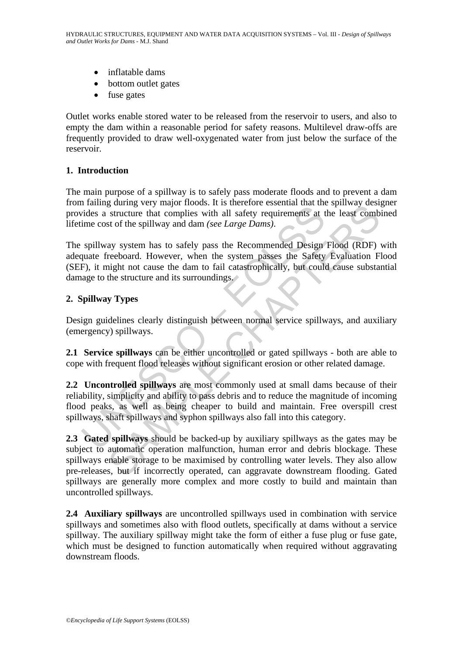- inflatable dams
- bottom outlet gates
- fuse gates

Outlet works enable stored water to be released from the reservoir to users, and also to empty the dam within a reasonable period for safety reasons. Multilevel draw-offs are frequently provided to draw well-oxygenated water from just below the surface of the reservoir.

## **1. Introduction**

The main purpose of a spillway is to safely pass moderate floods and to prevent a dam from failing during very major floods. It is therefore essential that the spillway designer provides a structure that complies with all safety requirements at the least combined lifetime cost of the spillway and dam *(see Large Dams)*.

Training Graphy may to solid and maintain. Fraction<br>ides a structure that complies with all safety requirements at time cost of the spillway and dam (see *Large Dams*).<br>spillway system has to safely pass the Recommended De The spillway system has to safely pass the Recommended Design Flood (RDF) with adequate freeboard. However, when the system passes the Safety Evaluation Flood (SEF), it might not cause the dam to fail catastrophically, but could cause substantial damage to the structure and its surroundings.

## **2. Spillway Types**

Design guidelines clearly distinguish between normal service spillways, and auxiliary (emergency) spillways.

**2.1 Service spillways** can be either uncontrolled or gated spillways - both are able to cope with frequent flood releases without significant erosion or other related damage.

**2.2 Uncontrolled spillways** are most commonly used at small dams because of their reliability, simplicity and ability to pass debris and to reduce the magnitude of incoming flood peaks, as well as being cheaper to build and maintain. Free overspill crest spillways, shaft spillways and syphon spillways also fall into this category.

gouing very inaly to booss. It sufficient that complete stematic and the plane structure that complise with all safety requirements at the least comb<br>st of the spillway and dam (*see Large Dams*).<br>And sy system has to safe **2.3 Gated spillways** should be backed-up by auxiliary spillways as the gates may be subject to automatic operation malfunction, human error and debris blockage. These spillways enable storage to be maximised by controlling water levels. They also allow pre-releases, but if incorrectly operated, can aggravate downstream flooding. Gated spillways are generally more complex and more costly to build and maintain than uncontrolled spillways.

**2.4 Auxiliary spillways** are uncontrolled spillways used in combination with service spillways and sometimes also with flood outlets, specifically at dams without a service spillway. The auxiliary spillway might take the form of either a fuse plug or fuse gate, which must be designed to function automatically when required without aggravating downstream floods.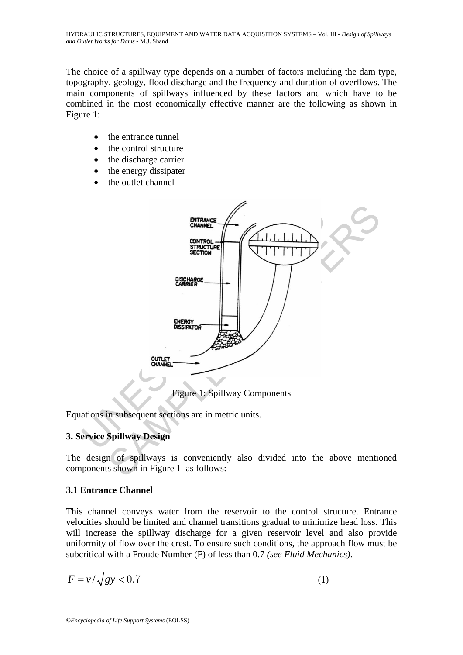The choice of a spillway type depends on a number of factors including the dam type, topography, geology, flood discharge and the frequency and duration of overflows. The main components of spillways influenced by these factors and which have to be combined in the most economically effective manner are the following as shown in Figure 1:

- the entrance tunnel
- the control structure
- the discharge carrier
- the energy dissipater
- the outlet channel



Equations in subsequent sections are in metric units.

## **3. Service Spillway Design**

The design of spillways is conveniently also divided into the above mentioned components shown in Figure 1 as follows:

## **3.1 Entrance Channel**

This channel conveys water from the reservoir to the control structure. Entrance velocities should be limited and channel transitions gradual to minimize head loss. This will increase the spillway discharge for a given reservoir level and also provide uniformity of flow over the crest. To ensure such conditions, the approach flow must be subcritical with a Froude Number (F) of less than 0.7 *(see Fluid Mechanics)*.

$$
F = \nu / \sqrt{gy} < 0.7 \tag{1}
$$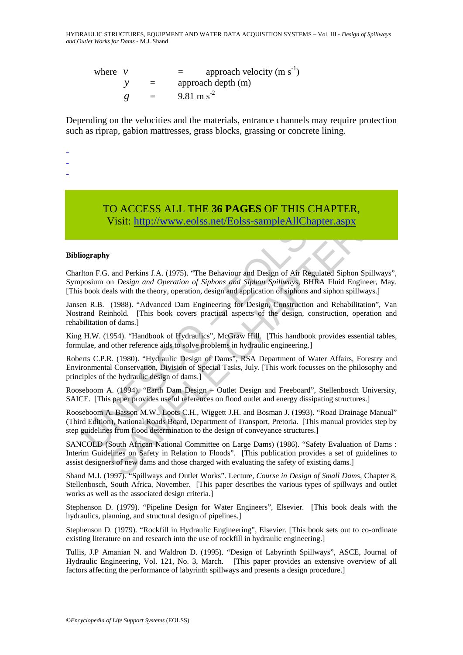HYDRAULIC STRUCTURES, EQUIPMENT AND WATER DATA ACQUISITION SYSTEMS – Vol. III - *Design of Spillways and Outlet Works for Dams* - M.J. Shand

where  $v = \text{approach velocity (m s<sup>-1</sup>)}$ *y* = approach depth (m)  $g = 9.81 \text{ m s}^2$ 

Depending on the velocities and the materials, entrance channels may require protection such as riprap, gabion mattresses, grass blocks, grassing or concrete lining.

-

-

-

## TO ACCESS ALL THE **36 PAGES** OF THIS CHAPTER, Visit: http://www.eolss.net/Eolss-sampleAllChapter.aspx

#### **Bibliography**

Charlton F.G. and Perkins J.A. (1975). "The Behaviour and Design of Air Regulated Siphon Spillways", Symposium on *Design and Operation of Siphons and Siphon Spillways*, BHRA Fluid Engineer, May. [This book deals with the theory, operation, design and application of siphons and siphon spillways.]

Jansen R.B. (1988). "Advanced Dam Engineering for Design, Construction and Rehabilitation", Van Nostrand Reinhold. [This book covers practical aspects of the design, construction, operation and rehabilitation of dams.]

King H.W. (1954). "Handbook of Hydraulics", McGraw Hill. [This handbook provides essential tables, formulae, and other reference aids to solve problems in hydraulic engineering.]

TO ACCESS ALL THE 36 PAGES OF THIS CHA<br>Visit: http://www.eolss.net/Eolss-sampleAllChapte<br>iography<br>for Usit: http://www.eolss.net/Eolss-sampleAllChapte<br>iography<br>for EG. and Perkins J.A. (1975). "The Behaviour and Design of TO ACCESS ALL THE 36 PAGES OF THIS CHAPTER,<br>
Visit: http://www.colss.net/Eolss-sampleAllChapter.aspx<br>
y<br>
and Perkins J.A. (1975). "The Behaviour and Design of Air Regulated Siphon Spillw<br>
on *Design and Operation of Siphon* Roberts C.P.R. (1980). "Hydraulic Design of Dams", RSA Department of Water Affairs, Forestry and Environmental Conservation, Division of Special Tasks, July. [This work focusses on the philosophy and principles of the hydraulic design of dams.]

Rooseboom A. (1994). "Earth Dam Design – Outlet Design and Freeboard", Stellenbosch University, SAICE. [This paper provides useful references on flood outlet and energy dissipating structures.]

Rooseboom A. Basson M.W., Loots C.H., Wiggett J.H. and Bosman J. (1993). "Road Drainage Manual" (Third Edition), National Roads Board, Department of Transport, Pretoria. [This manual provides step by step guidelines from flood determination to the design of conveyance structures.]

SANCOLD (South African National Committee on Large Dams) (1986). "Safety Evaluation of Dams : Interim Guidelines on Safety in Relation to Floods". [This publication provides a set of guidelines to assist designers of new dams and those charged with evaluating the safety of existing dams.]

Shand M.J. (1997). "Spillways and Outlet Works". Lecture, *Course in Design of Small Dams*, Chapter 8, Stellenbosch, South Africa, November. [This paper describes the various types of spillways and outlet works as well as the associated design criteria.]

Stephenson D. (1979). "Pipeline Design for Water Engineers", Elsevier. [This book deals with the hydraulics, planning, and structural design of pipelines.]

Stephenson D. (1979). "Rockfill in Hydraulic Engineering", Elsevier. [This book sets out to co-ordinate existing literature on and research into the use of rockfill in hydraulic engineering.]

Tullis, J.P Amanian N. and Waldron D. (1995). "Design of Labyrinth Spillways", ASCE, Journal of Hydraulic Engineering, Vol. 121, No. 3, March. [This paper provides an extensive overview of all factors affecting the performance of labyrinth spillways and presents a design procedure.]